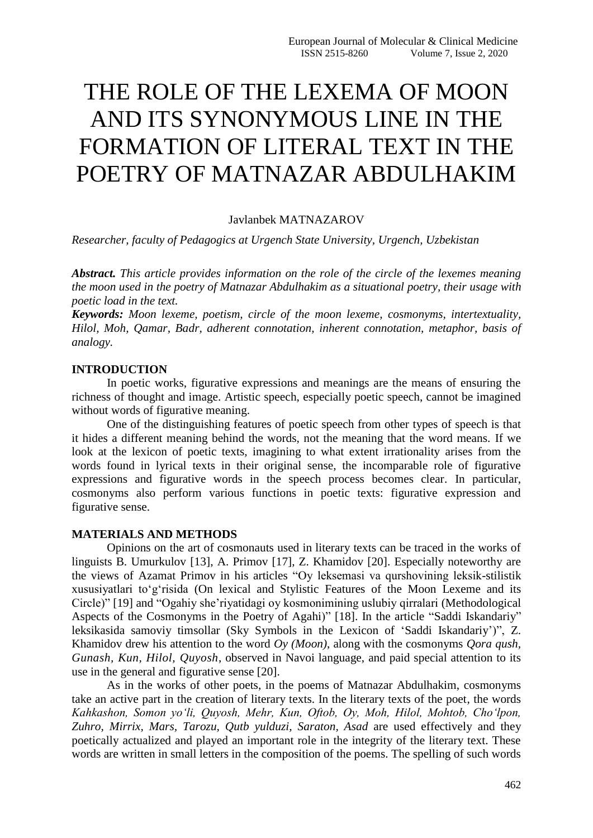# THE ROLE OF THE LEXEMA OF MOON AND ITS SYNONYMOUS LINE IN THE FORMATION OF LITERAL TEXT IN THE POETRY OF MATNAZAR ABDULHAKIM

#### Javlanbek MATNAZAROV

*Researcher, faculty of Pedagogics at Urgench State University, Urgench, Uzbekistan*

*Abstract. This article provides information on the role of the circle of the lexemes meaning the moon used in the poetry of Matnazar Abdulhakim as a situational poetry, their usage with poetic load in the text.*

*Keywords: Moon lexeme, poetism, circle of the moon lexeme, cosmonyms, intertextuality, Hilol, Moh, Qamar, Badr, adherent connotation, inherent connotation, metaphor, basis of analogy.*

#### **INTRODUCTION**

In poetic works, figurative expressions and meanings are the means of ensuring the richness of thought and image. Artistic speech, especially poetic speech, cannot be imagined without words of figurative meaning.

One of the distinguishing features of poetic speech from other types of speech is that it hides a different meaning behind the words, not the meaning that the word means. If we look at the lexicon of poetic texts, imagining to what extent irrationality arises from the words found in lyrical texts in their original sense, the incomparable role of figurative expressions and figurative words in the speech process becomes clear. In particular, cosmonyms also perform various functions in poetic texts: figurative expression and figurative sense.

#### **MATERIALS AND METHODS**

Opinions on the art of cosmonauts used in literary texts can be traced in the works of linguists B. Umurkulov [13], A. Primov [17], Z. Khamidov [20]. Especially noteworthy are the views of Azamat Primov in his articles "Oy leksemasi va qurshovining leksik-stilistik xususiyatlari to'g'risida (On lexical and Stylistic Features of the Moon Lexeme and its Circle)" [19] and "Ogahiy she'riyatidagi oy kosmonimining uslubiy qirralari (Methodological Aspects of the Cosmonyms in the Poetry of Agahi)" [18]. In the article "Saddi Iskandariy" leksikasida samoviy timsollar (Sky Symbols in the Lexicon of 'Saddi Iskandariy')", Z. Khamidov drew his attention to the word *Oy (Moon)*, along with the cosmonyms *Qora qush, Gunash, Kun, Hilol, Quyosh*, observed in Navoi language, and paid special attention to its use in the general and figurative sense [20].

As in the works of other poets, in the poems of Matnazar Abdulhakim, cosmonyms take an active part in the creation of literary texts. In the literary texts of the poet, the words *Kahkashon, Somon yo'li, Quyosh, Mehr, Kun, Oftob, Oy, Moh, Hilol, Mohtob, Cho'lpon, Zuhro, Mirrix, Mars, Tarozu, Qutb yulduzi, Saraton, Asad* are used effectively and they poetically actualized and played an important role in the integrity of the literary text. These words are written in small letters in the composition of the poems. The spelling of such words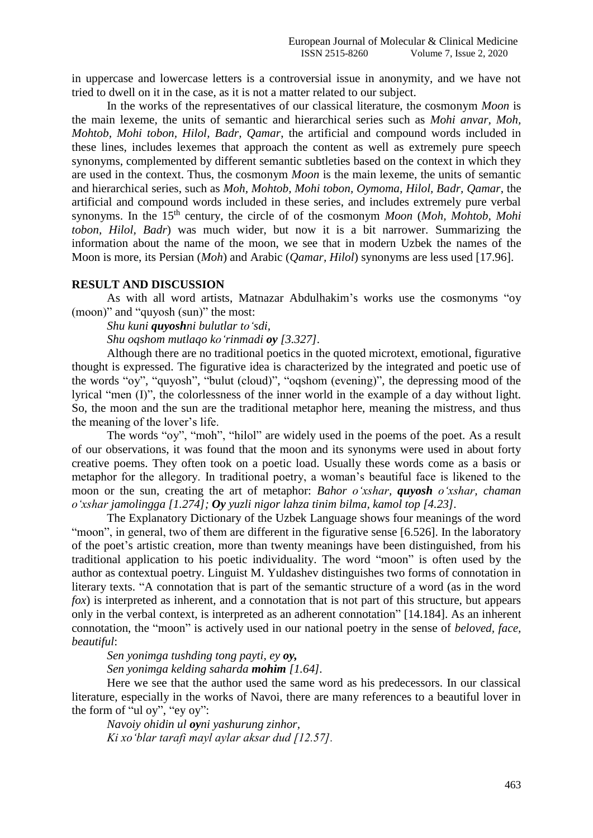in uppercase and lowercase letters is a controversial issue in anonymity, and we have not tried to dwell on it in the case, as it is not a matter related to our subject.

In the works of the representatives of our classical literature, the cosmonym *Moon* is the main lexeme, the units of semantic and hierarchical series such as *Mohi anvar, Moh, Mohtob, Mohi tobon, Hilol, Badr, Qamar*, the artificial and compound words included in these lines, includes lexemes that approach the content as well as extremely pure speech synonyms, complemented by different semantic subtleties based on the context in which they are used in the context. Thus, the cosmonym *Moon* is the main lexeme, the units of semantic and hierarchical series, such as *Moh, Mohtob, Mohi tobon, Oymoma, Hilol, Badr, Qamar*, the artificial and compound words included in these series, and includes extremely pure verbal synonyms. In the 15th century, the circle of of the cosmonym *Moon* (*Moh, Mohtob, Mohi tobon, Hilol, Badr*) was much wider, but now it is a bit narrower. Summarizing the information about the name of the moon, we see that in modern Uzbek the names of the Moon is more, its Persian (*Moh*) and Arabic (*Qamar, Hilol*) synonyms are less used [17.96].

#### **RESULT AND DISCUSSION**

As with all word artists, Matnazar Abdulhakim's works use the cosmonyms "oy (moon)" and "quyosh (sun)" the most:

*Shu kuni quyoshni bulutlar to'sdi,*

*Shu oqshom mutlaqo ko'rinmadi oy [3.327].*

Although there are no traditional poetics in the quoted microtext, emotional, figurative thought is expressed. The figurative idea is characterized by the integrated and poetic use of the words "oy", "quyosh", "bulut (cloud)", "oqshom (evening)", the depressing mood of the lyrical "men (I)", the colorlessness of the inner world in the example of a day without light. So, the moon and the sun are the traditional metaphor here, meaning the mistress, and thus the meaning of the lover's life.

The words "oy", "moh", "hilol" are widely used in the poems of the poet. As a result of our observations, it was found that the moon and its synonyms were used in about forty creative poems. They often took on a poetic load. Usually these words come as a basis or metaphor for the allegory. In traditional poetry, a woman's beautiful face is likened to the moon or the sun, creating the art of metaphor: *Bahor о'xshar, quyosh о'xshar, chaman о'xshar jamolingga [1.274]; Oy yuzli nigor lahza tinim bilma, kamol top [4.23].*

The Explanatory Dictionary of the Uzbek Language shows four meanings of the word "moon", in general, two of them are different in the figurative sense [6.526]. In the laboratory of the poet's artistic creation, more than twenty meanings have been distinguished, from his traditional application to his poetic individuality. The word "moon" is often used by the author as contextual poetry. Linguist M. Yuldashev distinguishes two forms of connotation in literary texts. "A connotation that is part of the semantic structure of a word (as in the word *fox*) is interpreted as inherent, and a connotation that is not part of this structure, but appears only in the verbal context, is interpreted as an adherent connotation" [14.184]. As an inherent connotation, the "moon" is actively used in our national poetry in the sense of *beloved, face, beautiful*:

*Sen yonimga tushding tong payti, ey oy, Sen yonimga kelding saharda mohim [1.64].*

Here we see that the author used the same word as his predecessors. In our classical literature, especially in the works of Navoi, there are many references to a beautiful lover in the form of "ul oy", "ey oy":

*Navoiy ohidin ul oyni yashurung zinhor, Ki xo'blar tarafi mayl aylar aksar dud [12.57].*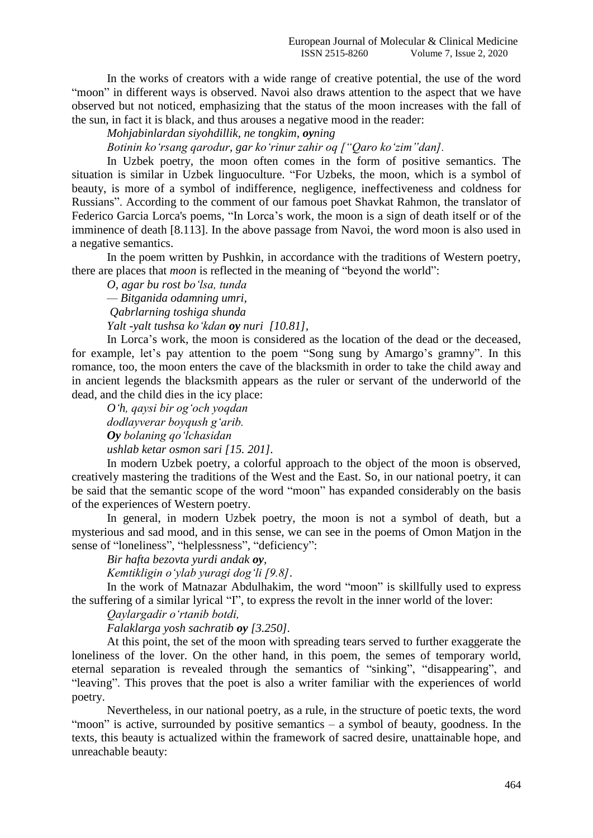In the works of creators with a wide range of creative potential, the use of the word "moon" in different ways is observed. Navoi also draws attention to the aspect that we have observed but not noticed, emphasizing that the status of the moon increases with the fall of the sun, in fact it is black, and thus arouses a negative mood in the reader:

*Mohjabinlardan siyohdillik, ne tongkim, oyning*

*Botinin ko'rsang qarodur, gar ko'rinur zahir oq ["Qaro ko'zim"dan].*

In Uzbek poetry, the moon often comes in the form of positive semantics. The situation is similar in Uzbek linguoculture. "For Uzbeks, the moon, which is a symbol of beauty, is more of a symbol of indifference, negligence, ineffectiveness and coldness for Russians". According to the comment of our famous poet Shavkat Rahmon, the translator of Federico Garcia Lorca's poems, "In Lorca's work, the moon is a sign of death itself or of the imminence of death [8.113]. In the above passage from Navoi, the word moon is also used in a negative semantics.

In the poem written by Pushkin, in accordance with the traditions of Western poetry, there are places that *moon* is reflected in the meaning of "beyond the world":

*O, agar bu rost bо'lsa, tunda* 

*— Bitganida odamning umri,*

*Qabrlarning toshiga shunda* 

*Yalt -yalt tushsa kо'kdan oy nuri [10.81],*

In Lorca's work, the moon is considered as the location of the dead or the deceased, for example, let's pay attention to the poem "Song sung by Amargo's gramny". In this romance, too, the moon enters the cave of the blacksmith in order to take the child away and in ancient legends the blacksmith appears as the ruler or servant of the underworld of the dead, and the child dies in the icy place:

*O'h, qaysi bir og'och yoqdan dodlayverar boyqush g'arib. Oy bolaning qo'lchasidan ushlab ketar osmon sari [15. 201].*

In modern Uzbek poetry, a colorful approach to the object of the moon is observed, creatively mastering the traditions of the West and the East. So, in our national poetry, it can be said that the semantic scope of the word "moon" has expanded considerably on the basis of the experiences of Western poetry.

In general, in modern Uzbek poetry, the moon is not a symbol of death, but a mysterious and sad mood, and in this sense, we can see in the poems of Omon Matjon in the sense of "loneliness", "helplessness", "deficiency":

*Bir hafta bezovta yurdi andak oy,*

*Kemtikligin o'ylab yuragi dog'li [9.8]*.

In the work of Matnazar Abdulhakim, the word "moon" is skillfully used to express the suffering of a similar lyrical "I", to express the revolt in the inner world of the lover:

*Qaylargadir o'rtanib botdi,*

*Falaklarga yosh sachratib oy [3.250].*

At this point, the set of the moon with spreading tears served to further exaggerate the loneliness of the lover. On the other hand, in this poem, the semes of temporary world, eternal separation is revealed through the semantics of "sinking", "disappearing", and "leaving". This proves that the poet is also a writer familiar with the experiences of world poetry.

Nevertheless, in our national poetry, as a rule, in the structure of poetic texts, the word "moon" is active, surrounded by positive semantics  $-$  a symbol of beauty, goodness. In the texts, this beauty is actualized within the framework of sacred desire, unattainable hope, and unreachable beauty: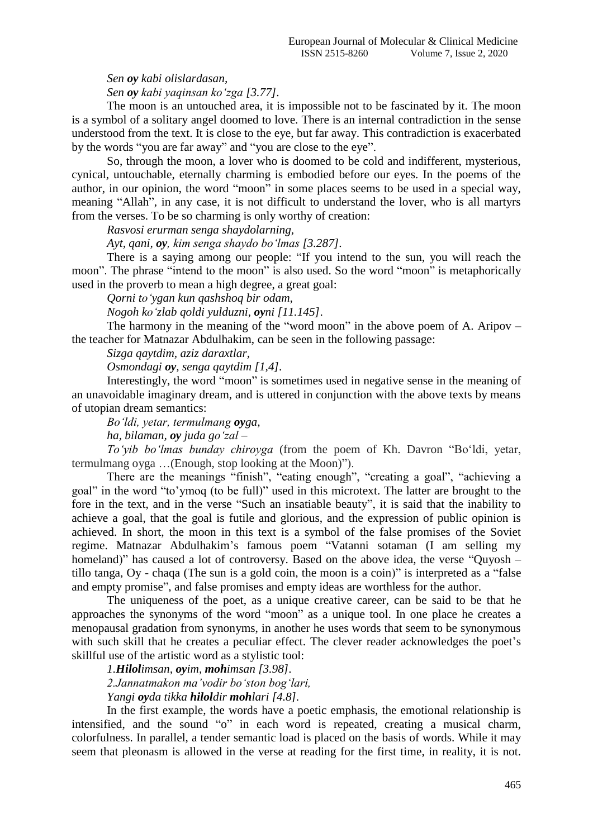*Sen oy kabi olislardasan,*

*Sen oy kabi yaqinsan ko'zga [3.77].*

The moon is an untouched area, it is impossible not to be fascinated by it. The moon is a symbol of a solitary angel doomed to love. There is an internal contradiction in the sense understood from the text. It is close to the eye, but far away. This contradiction is exacerbated by the words "you are far away" and "you are close to the eye".

So, through the moon, a lover who is doomed to be cold and indifferent, mysterious, cynical, untouchable, eternally charming is embodied before our eyes. In the poems of the author, in our opinion, the word "moon" in some places seems to be used in a special way, meaning "Allah", in any case, it is not difficult to understand the lover, who is all martyrs from the verses. To be so charming is only worthy of creation:

*Rasvosi erurman senga shaydolarning,*

*Ayt, qani, oy, kim senga shaydo bo'lmas [3.287].*

There is a saying among our people: "If you intend to the sun, you will reach the moon". The phrase "intend to the moon" is also used. So the word "moon" is metaphorically used in the proverb to mean a high degree, a great goal:

*Qorni to'ygan kun qashshoq bir odam,*

*Nogoh ko'zlab qoldi yulduzni, oyni [11.145]*.

The harmony in the meaning of the "word moon" in the above poem of A. Aripov – the teacher for Matnazar Abdulhakim, can be seen in the following passage:

*Sizga qaytdim, aziz daraxtlar,*

*Osmondagi oy, senga qaytdim [1,4].*

Interestingly, the word "moon" is sometimes used in negative sense in the meaning of an unavoidable imaginary dream, and is uttered in conjunction with the above texts by means of utopian dream semantics:

*Bo'ldi, yetar, termulmang oyga,* 

*ha, bilaman, oy juda go'zal –*

*To'yib bo'lmas bunday chiroyga* (from the poem of Kh. Davron "Bo'ldi, yetar, termulmang oyga …(Enough, stop looking at the Moon)").

There are the meanings "finish", "eating enough", "creating a goal", "achieving a goal" in the word "to'ymoq (to be full)" used in this microtext. The latter are brought to the fore in the text, and in the verse "Such an insatiable beauty", it is said that the inability to achieve a goal, that the goal is futile and glorious, and the expression of public opinion is achieved. In short, the moon in this text is a symbol of the false promises of the Soviet regime. Matnazar Abdulhakim's famous poem "Vatanni sotaman (I am selling my homeland)" has caused a lot of controversy. Based on the above idea, the verse "Quyosh – tillo tanga, Oy - chaqa (The sun is a gold coin, the moon is a coin)" is interpreted as a "false and empty promise", and false promises and empty ideas are worthless for the author.

The uniqueness of the poet, as a unique creative career, can be said to be that he approaches the synonyms of the word "moon" as a unique tool. In one place he creates a menopausal gradation from synonyms, in another he uses words that seem to be synonymous with such skill that he creates a peculiar effect. The clever reader acknowledges the poet's skillful use of the artistic word as a stylistic tool:

*1.Hilolimsan, oyim, mohimsan [3.98].*

*2.Jannatmakon ma'vodir bo'ston bog'lari,*

*Yangi oyda tikka hiloldir mohlari [4.8].*

In the first example, the words have a poetic emphasis, the emotional relationship is intensified, and the sound "o" in each word is repeated, creating a musical charm, colorfulness. In parallel, a tender semantic load is placed on the basis of words. While it may seem that pleonasm is allowed in the verse at reading for the first time, in reality, it is not.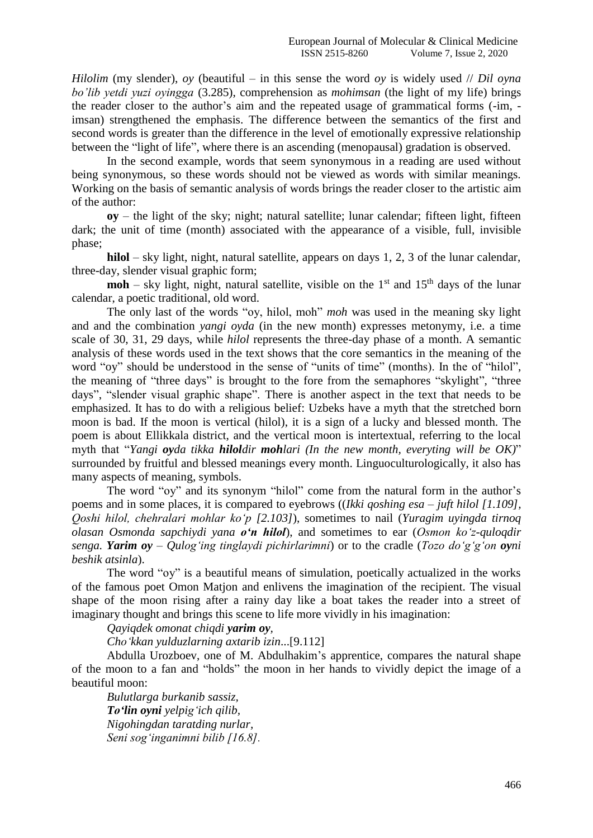*Hilolim* (my slender), *oy* (beautiful – in this sense the word *oy* is widely used // *Dil oyna bo'lib yetdi yuzi oyingga* (3.285), comprehension as *mohimsan* (the light of my life) brings the reader closer to the author's aim and the repeated usage of grammatical forms (-im, imsan) strengthened the emphasis. The difference between the semantics of the first and second words is greater than the difference in the level of emotionally expressive relationship between the "light of life", where there is an ascending (menopausal) gradation is observed.

In the second example, words that seem synonymous in a reading are used without being synonymous, so these words should not be viewed as words with similar meanings. Working on the basis of semantic analysis of words brings the reader closer to the artistic aim of the author:

**oy** – the light of the sky; night; natural satellite; lunar calendar; fifteen light, fifteen dark; the unit of time (month) associated with the appearance of a visible, full, invisible phase;

**hilol** – sky light, night, natural satellite, appears on days 1, 2, 3 of the lunar calendar, three-day, slender visual graphic form;

**moh** – sky light, night, natural satellite, visible on the  $1<sup>st</sup>$  and  $15<sup>th</sup>$  days of the lunar calendar, a poetic traditional, old word.

The only last of the words "oy, hilol, moh" *moh* was used in the meaning sky light and and the combination *yangi oyda* (in the new month) expresses metonymy, i.e. a time scale of 30, 31, 29 days, while *hilol* represents the three-day phase of a month. A semantic analysis of these words used in the text shows that the core semantics in the meaning of the word "oy" should be understood in the sense of "units of time" (months). In the of "hilol", the meaning of "three days" is brought to the fore from the semaphores "skylight", "three days", "slender visual graphic shape". There is another aspect in the text that needs to be emphasized. It has to do with a religious belief: Uzbeks have a myth that the stretched born moon is bad. If the moon is vertical (hilol), it is a sign of a lucky and blessed month. The poem is about Ellikkala district, and the vertical moon is intertextual, referring to the local myth that "*Yangi oyda tikka hiloldir mohlari (In the new month, everyting will be OK)*" surrounded by fruitful and blessed meanings every month. Linguoculturologically, it also has many aspects of meaning, symbols.

The word "oy" and its synonym "hilol" come from the natural form in the author's poems and in some places, it is compared to eyebrows ((*Ikki qoshing esa – juft hilol [1.109], Qoshi hilol, chehralari mohlar ko'p [2.103]*), sometimes to nail (*Yuragim uyingda tirnoq olasan Osmonda sapchiydi yana o'n hilol*), and sometimes to ear (*Osmon kо'z-quloqdir senga. Yarim oy – Qulog'ing tinglaydi pichirlarimni*) or to the cradle (*Tozo dо'g'g'on oyni beshik atsinla*).

The word "oy" is a beautiful means of simulation, poetically actualized in the works of the famous poet Omon Matjon and enlivens the imagination of the recipient. The visual shape of the moon rising after a rainy day like a boat takes the reader into a street of imaginary thought and brings this scene to life more vividly in his imagination:

*Qayiqdek omonat chiqdi yarim oy,*

*Cho'kkan yulduzlarning axtarib izin*...[9.112]

Abdulla Urozboev, one of M. Abdulhakim's apprentice, compares the natural shape of the moon to a fan and "holds" the moon in her hands to vividly depict the image of a beautiful moon:

*Bulutlarga burkanib sassiz, To'lin oyni yelpig'ich qilib, Nigohingdan taratding nurlar, Seni sog'inganimni bilib [16.8].*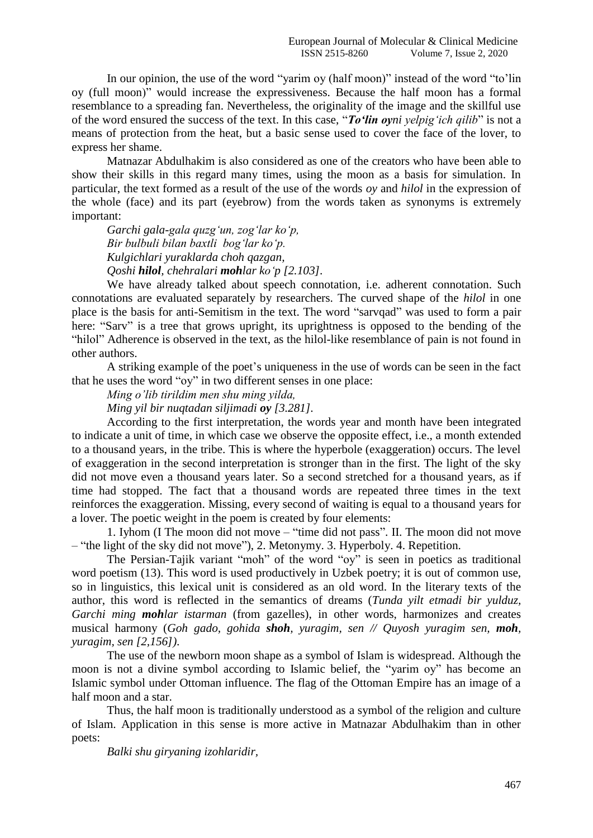In our opinion, the use of the word "yarim oy (half moon)" instead of the word "to'lin oy (full moon)" would increase the expressiveness. Because the half moon has a formal resemblance to a spreading fan. Nevertheless, the originality of the image and the skillful use of the word ensured the success of the text. In this case, "*To'lin oyni yelpig'ich qilib*" is not a means of protection from the heat, but a basic sense used to cover the face of the lover, to express her shame.

Matnazar Abdulhakim is also considered as one of the creators who have been able to show their skills in this regard many times, using the moon as a basis for simulation. In particular, the text formed as a result of the use of the words *oy* and *hilol* in the expression of the whole (face) and its part (eyebrow) from the words taken as synonyms is extremely important:

*Garchi gala-gala quzg'un, zog'lar kо'p, Bir bulbuli bilan baxtli bog'lar kо'p. Kulgichlari yuraklarda choh qazgan, Qoshi hilol, chehralari mohlar ko'p [2.103].*

We have already talked about speech connotation, i.e. adherent connotation. Such connotations are evaluated separately by researchers. The curved shape of the *hilol* in one place is the basis for anti-Semitism in the text. The word "sarvqad" was used to form a pair here: "Sarv" is a tree that grows upright, its uprightness is opposed to the bending of the "hilol" Adherence is observed in the text, as the hilol-like resemblance of pain is not found in other authors.

A striking example of the poet's uniqueness in the use of words can be seen in the fact that he uses the word "oy" in two different senses in one place:

*Ming o'lib tirildim men shu ming yilda,*

*Ming yil bir nuqtadan siljimadi oy [3.281].*

According to the first interpretation, the words year and month have been integrated to indicate a unit of time, in which case we observe the opposite effect, i.e., a month extended to a thousand years, in the tribe. This is where the hyperbole (exaggeration) occurs. The level of exaggeration in the second interpretation is stronger than in the first. The light of the sky did not move even a thousand years later. So a second stretched for a thousand years, as if time had stopped. The fact that a thousand words are repeated three times in the text reinforces the exaggeration. Missing, every second of waiting is equal to a thousand years for a lover. The poetic weight in the poem is created by four elements:

1. Iyhom (I The moon did not move – "time did not pass". II. The moon did not move – "the light of the sky did not move"), 2. Metonymy. 3. Hyperboly. 4. Repetition.

The Persian-Tajik variant "moh" of the word "oy" is seen in poetics as traditional word poetism (13). This word is used productively in Uzbek poetry; it is out of common use, so in linguistics, this lexical unit is considered as an old word. In the literary texts of the author, this word is reflected in the semantics of dreams (*Tunda yilt etmadi bir yulduz, Garchi ming mohlar istarman* (from gazelles), in other words, harmonizes and creates musical harmony (*Goh gado, gohida shoh, yuragim, sen // Quyosh yuragim sen, moh, yuragim, sen [2,156])*.

The use of the newborn moon shape as a symbol of Islam is widespread. Although the moon is not a divine symbol according to Islamic belief, the "yarim oy" has become an Islamic symbol under Ottoman influence. The flag of the Ottoman Empire has an image of a half moon and a star.

Thus, the half moon is traditionally understood as a symbol of the religion and culture of Islam. Application in this sense is more active in Matnazar Abdulhakim than in other poets:

*Balki shu giryaning izohlaridir,*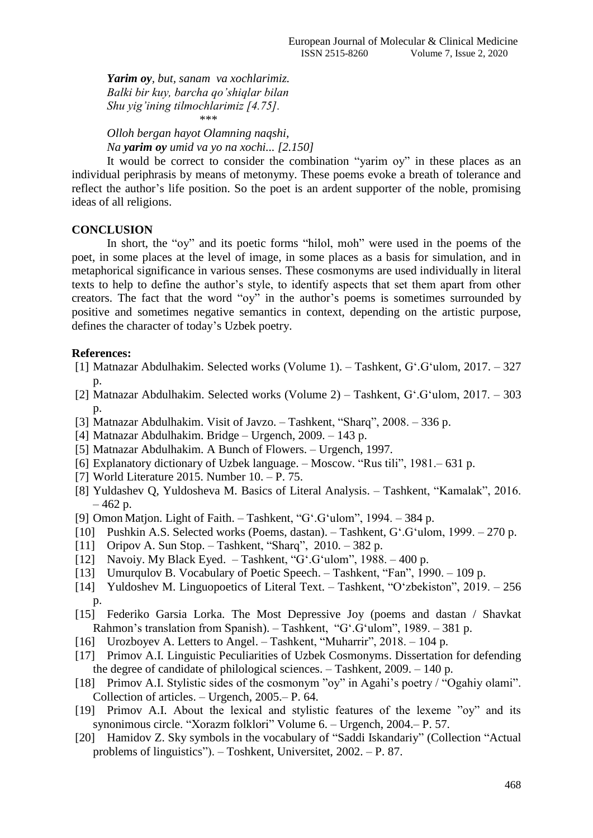*Yarim oy, but, sanam va xochlarimiz. Balki bir kuy, barcha qo'shiqlar bilan Shu yig'ining tilmochlarimiz [4.75].* \*\*\*\*

*Olloh bergan hayot Olamning naqshi, Na yarim oy umid va yo na xochi... [2.150]*

It would be correct to consider the combination "yarim oy" in these places as an individual periphrasis by means of metonymy. These poems evoke a breath of tolerance and reflect the author's life position. So the poet is an ardent supporter of the noble, promising ideas of all religions.

### **CONCLUSION**

In short, the "oy" and its poetic forms "hilol, moh" were used in the poems of the poet, in some places at the level of image, in some places as a basis for simulation, and in metaphorical significance in various senses. These cosmonyms are used individually in literal texts to help to define the author's style, to identify aspects that set them apart from other creators. The fact that the word "oy" in the author's poems is sometimes surrounded by positive and sometimes negative semantics in context, depending on the artistic purpose, defines the character of today's Uzbek poetry.

## **References:**

- [1] Matnazar Abdulhakim. Selected works (Volume 1). Tashkent, G'.G'ulom, 2017. 327 p.
- [2] Matnazar Abdulhakim. Selected works (Volume 2) Tashkent, G'.G'ulom, 2017. 303 p.
- [3] Matnazar Abdulhakim. Visit of Javzo. Tashkent, "Sharq", 2008. 336 p.
- [4] Matnazar Abdulhakim. Bridge Urgench, 2009. 143 p.
- [5] Matnazar Abdulhakim. A Bunch of Flowers. Urgench, 1997.
- [6] Explanatory dictionary of Uzbek language. Moscow. "Rus tili", 1981.– 631 p.
- [7] World Literature 2015. Number 10. P. 75.
- [8] Yuldashev Q, Yuldosheva M. Basics of Literal Analysis. Tashkent, "Kamalak", 2016.  $-462$  p.
- [9] Omon Matjon. Light of Faith. Tashkent, "G'.G'ulom", 1994. 384 p.
- [10] Pushkin A.S. Selected works (Poems, dastan). Tashkent, G'.G'ulom, 1999. 270 p.
- [11] Oripov A. Sun Stop. Tashkent, "Sharq", 2010. 382 p.
- [12] Navoiy. My Black Eyed. Tashkent, "G'.G'ulom", 1988. 400 p.
- [13] Umurqulov B. Vocabulary of Poetic Speech. Tashkent, "Fan", 1990. 109 p.
- [14] Yuldoshev M. Linguopoetics of Literal Text. Tashkent, "O'zbekiston", 2019. 256 p.
- [15] Federiko Garsia Lorka. The Most Depressive Joy (poems and dastan / Shavkat Rahmon's translation from Spanish). – Tashkent, "G'.G'ulom", 1989. – 381 p.
- [16] Urozboyev A. Letters to Angel. Tashkent, "Muharrir", 2018. 104 p.
- [17] Primov A.I. Linguistic Peculiarities of Uzbek Cosmonyms. Dissertation for defending the degree of candidate of philological sciences. – Tashkent, 2009. – 140 p.
- [18] Primov A.I. Stylistic sides of the cosmonym "oy" in Agahi's poetry / "Ogahiy olami". Collection of articles. – Urgench, 2005.– P. 64.
- [19] Primov A.I. About the lexical and stylistic features of the lexeme "oy" and its synonimous circle. "Xorazm folklori" Volume 6. – Urgench, 2004.– P. 57.
- [20] Hamidov Z. Sky symbols in the vocabulary of "Saddi Iskandariy" (Collection "Actual problems of linguistics"). – Toshkent, Universitet, 2002. – P. 87.